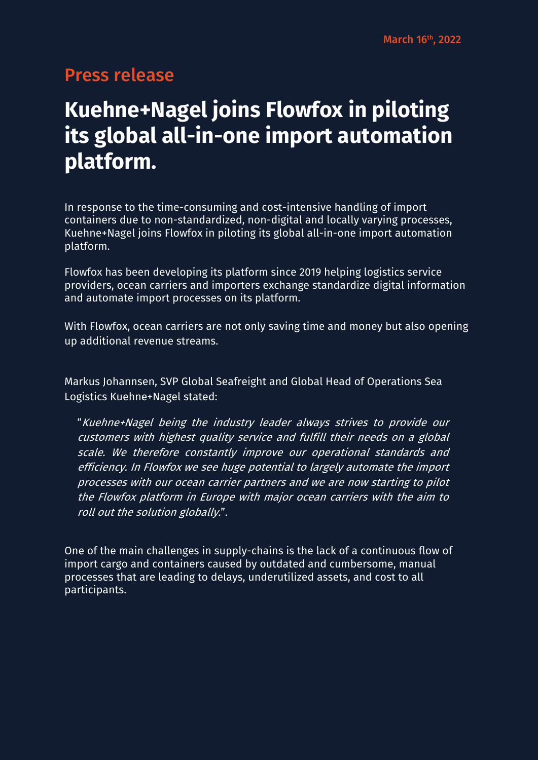## Press release

## **Kuehne+Nagel joins Flowfox in piloting its global all-in-one import automation platform.**

In response to the time-consuming and cost-intensive handling of import containers due to non-standardized, non-digital and locally varying processes, Kuehne+Nagel joins Flowfox in piloting its global all-in-one import automation platform.

Flowfox has been developing its platform since 2019 helping logistics service providers, ocean carriers and importers exchange standardize digital information and automate import processes on its platform.

With Flowfox, ocean carriers are not only saving time and money but also opening up additional revenue streams.

Markus Johannsen, SVP Global Seafreight and Global Head of Operations Sea Logistics Kuehne+Nagel stated:

"Kuehne+Nagel being the industry leader always strives to provide our customers with highest quality service and fulfill their needs on a global scale. We therefore constantly improve our operational standards and efficiency. In Flowfox we see huge potential to largely automate the import processes with our ocean carrier partners and we are now starting to pilot the Flowfox platform in Europe with major ocean carriers with the aim to roll out the solution globally.".

One of the main challenges in supply-chains is the lack of a continuous flow of import cargo and containers caused by outdated and cumbersome, manual processes that are leading to delays, underutilized assets, and cost to all participants.